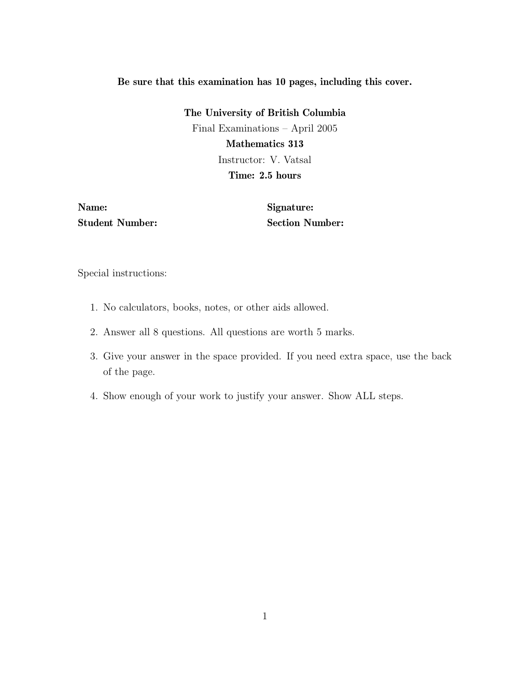## Be sure that this examination has 10 pages, including this cover.

The University of British Columbia Final Examinations – April 2005 Mathematics 313 Instructor: V. Vatsal Time: 2.5 hours

Name: Student Number: Signature: Section Number:

Special instructions:

- 1. No calculators, books, notes, or other aids allowed.
- 2. Answer all 8 questions. All questions are worth 5 marks.
- 3. Give your answer in the space provided. If you need extra space, use the back of the page.
- 4. Show enough of your work to justify your answer. Show ALL steps.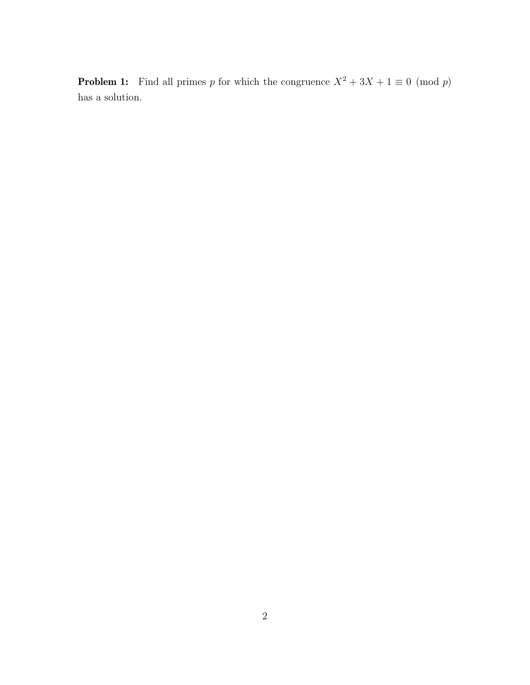**Problem 1:** Find all primes p for which the congruence  $X^2 + 3X + 1 \equiv 0 \pmod{p}$ has a solution.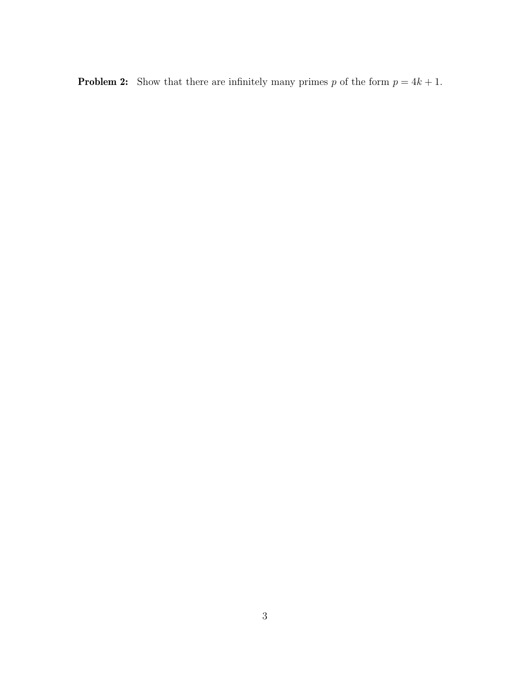**Problem 2:** Show that there are infinitely many primes p of the form  $p = 4k + 1$ .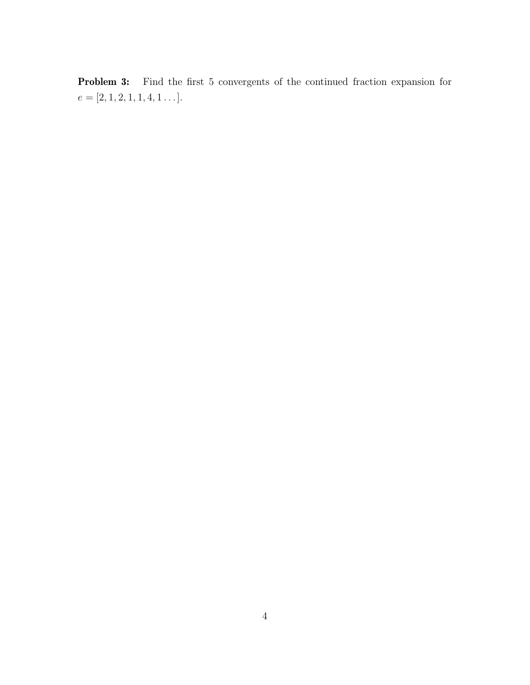Problem 3: Find the first 5 convergents of the continued fraction expansion for  $e = [2, 1, 2, 1, 1, 4, 1 \dots].$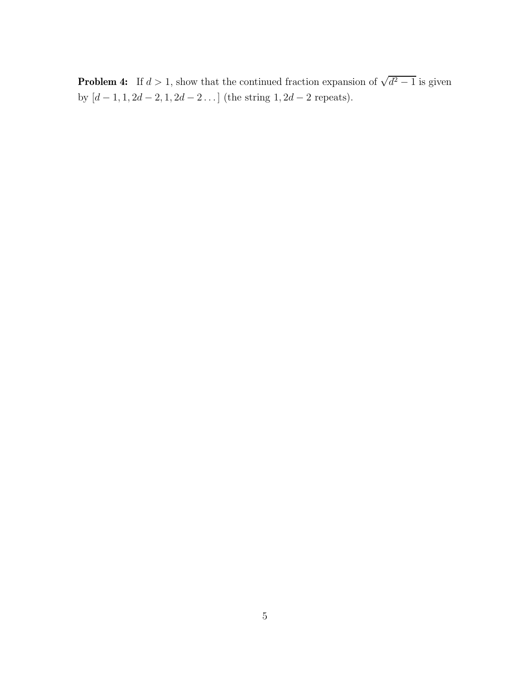**Problem 4:** If  $d > 1$ , show that the continued fraction expansion of  $\sqrt{d^2 - 1}$  is given by  $[d-1, 1, 2d-2, 1, 2d-2 \dots]$  (the string  $1, 2d-2$  repeats).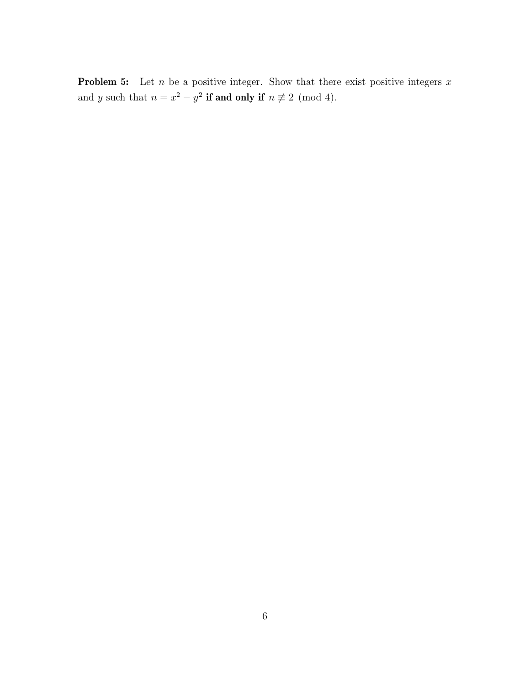**Problem 5:** Let  $n$  be a positive integer. Show that there exist positive integers  $x$ and y such that  $n = x^2 - y^2$  **if and only if**  $n \not\equiv 2 \pmod{4}$ .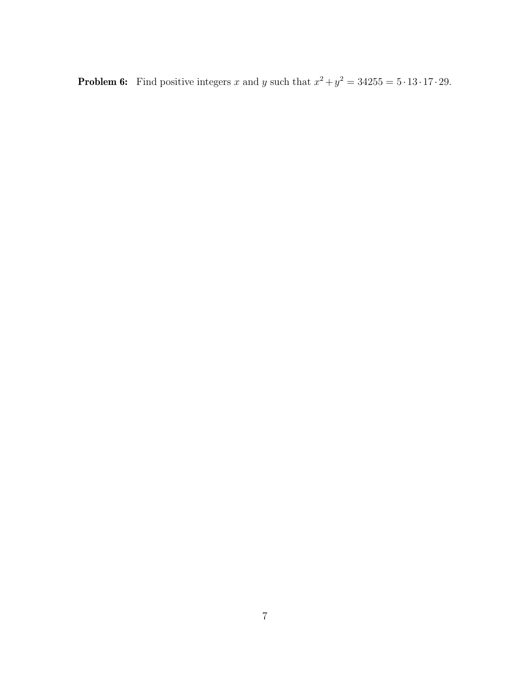**Problem 6:** Find positive integers x and y such that  $x^2 + y^2 = 34255 = 5 \cdot 13 \cdot 17 \cdot 29$ .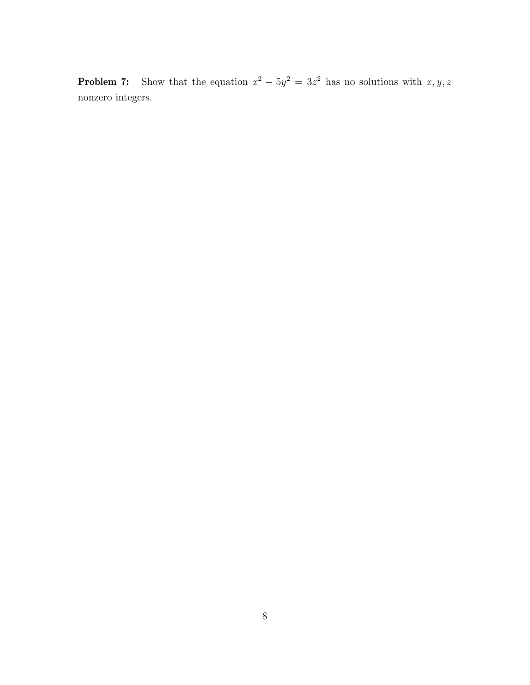**Problem 7:** Show that the equation  $x^2 - 5y^2 = 3z^2$  has no solutions with  $x, y, z$ nonzero integers.